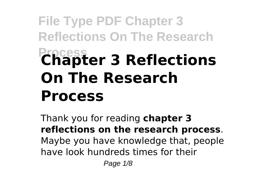# **File Type PDF Chapter 3 Reflections On The Research Process Chapter 3 Reflections On The Research Process**

Thank you for reading **chapter 3 reflections on the research process**. Maybe you have knowledge that, people have look hundreds times for their

Page 1/8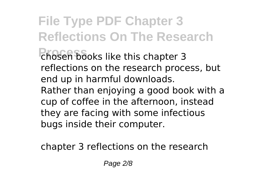**File Type PDF Chapter 3 Reflections On The Research** chosen books like this chapter 3 reflections on the research process, but end up in harmful downloads. Rather than enjoying a good book with a cup of coffee in the afternoon, instead they are facing with some infectious bugs inside their computer.

chapter 3 reflections on the research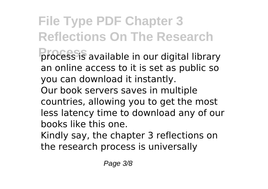**File Type PDF Chapter 3 Reflections On The Research** process is available in our digital library an online access to it is set as public so you can download it instantly. Our book servers saves in multiple countries, allowing you to get the most less latency time to download any of our

books like this one.

Kindly say, the chapter 3 reflections on the research process is universally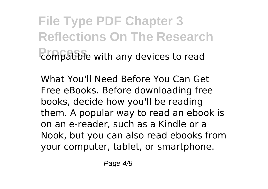**File Type PDF Chapter 3 Reflections On The Research Process** compatible with any devices to read

What You'll Need Before You Can Get Free eBooks. Before downloading free books, decide how you'll be reading them. A popular way to read an ebook is on an e-reader, such as a Kindle or a Nook, but you can also read ebooks from your computer, tablet, or smartphone.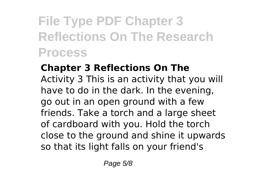### **File Type PDF Chapter 3 Reflections On The Research Process**

### **Chapter 3 Reflections On The**

Activity 3 This is an activity that you will have to do in the dark. In the evening, go out in an open ground with a few friends. Take a torch and a large sheet of cardboard with you. Hold the torch close to the ground and shine it upwards so that its light falls on your friend's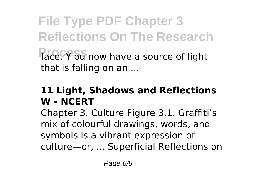**File Type PDF Chapter 3 Reflections On The Research** face. *Y* ou now have a source of light that is falling on an ...

#### **11 Light, Shadows and Reflections W - NCERT**

Chapter 3. Culture Figure 3.1. Graffiti's mix of colourful drawings, words, and symbols is a vibrant expression of culture—or, ... Superficial Reflections on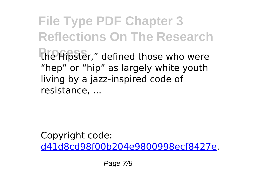**File Type PDF Chapter 3 Reflections On The Research** the Hipster," defined those who were "hep" or "hip" as largely white youth living by a jazz-inspired code of resistance, ...

Copyright code: [d41d8cd98f00b204e9800998ecf8427e.](/sitemap.xml)